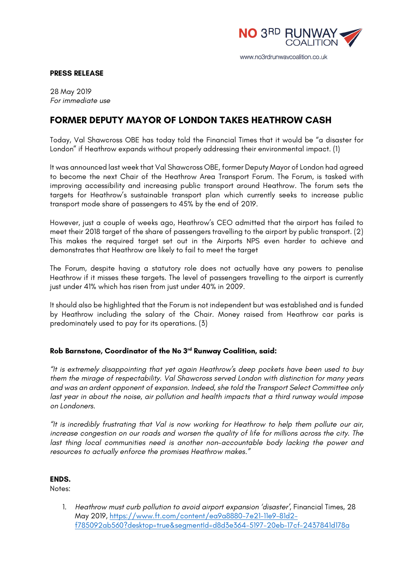

www.no3rdrunwaycoalition.co.uk

#### **PRESS RELEASE**

28 May 2019 *For immediate use*

# **FORMER DEPUTY MAYOR OF LONDON TAKES HEATHROW CASH**

Today, Val Shawcross OBE has today told the Financial Times that it would be "a disaster for London" if Heathrow expands without properly addressing their environmental impact. (1)

It was announced last week that Val Shawcross OBE, former Deputy Mayor of London had agreed to become the next Chair of the Heathrow Area Transport Forum. The Forum, is tasked with improving accessibility and increasing public transport around Heathrow. The forum sets the targets for Heathrow's sustainable transport plan which currently seeks to increase public transport mode share of passengers to 45% by the end of 2019.

However, just a couple of weeks ago, Heathrow's CEO admitted that the airport has failed to meet their 2018 target of the share of passengers travelling to the airport by public transport. (2) This makes the required target set out in the Airports NPS even harder to achieve and demonstrates that Heathrow are likely to fail to meet the target

The Forum, despite having a statutory role does not actually have any powers to penalise Heathrow if it misses these targets. The level of passengers travelling to the airport is currently just under 41% which has risen from just under 40% in 2009.

It should also be highlighted that the Forum is not independent but was established and is funded by Heathrow including the salary of the Chair. Money raised from Heathrow car parks is predominately used to pay for its operations. (3)

# **Rob Barnstone, Coordinator of the No 3rd Runway Coalition, said:**

*"It is extremely disappointing that yet again Heathrow's deep pockets have been used to buy them the mirage of respectability. Val Shawcross served London with distinction for many years and was an ardent opponent of expansion. Indeed, she told the Transport Select Committee only last year in about the noise, air pollution and health impacts that a third runway would impose on Londoners.*

*"It is incredibly frustrating that Val is now working for Heathrow to help them pollute our air, increase congestion on our roads and worsen the quality of life for millions across the city. The last thing local communities need is another non-accountable body lacking the power and resources to actually enforce the promises Heathrow makes."*

# **ENDS.**

Notes:

1. *Heathrow must curb pollution to avoid airport expansion 'disaster'*, Financial Times, 28 May 2019, https://www.ft.com/content/ea9a8880-7e21-11e9-81d2 f785092ab560?desktop=true&segmentId=d8d3e364-5197-20eb-17cf-2437841d178a